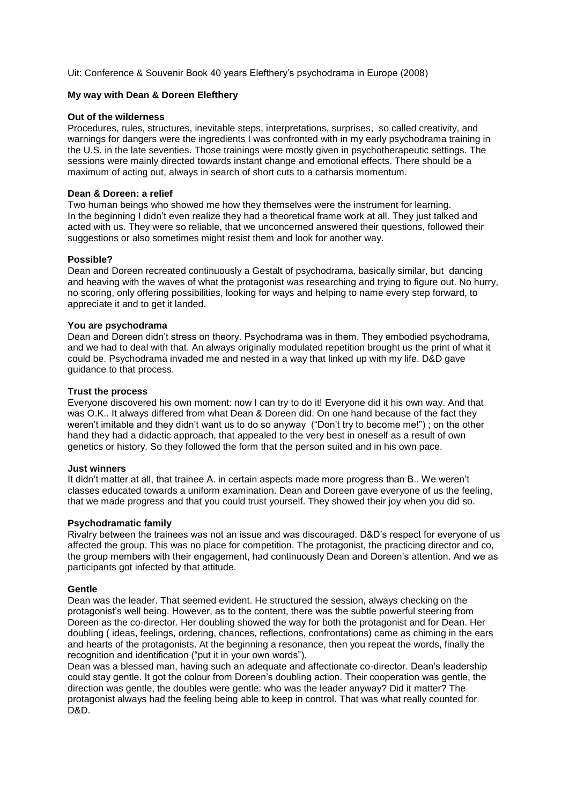Uit: Conference & Souvenir Book 40 years Elefthery's psychodrama in Europe (2008)

# **My way with Dean & Doreen Elefthery**

# **Out of the wilderness**

Procedures, rules, structures, inevitable steps, interpretations, surprises, so called creativity, and warnings for dangers were the ingredients I was confronted with in my early psychodrama training in the U.S. in the late seventies. Those trainings were mostly given in psychotherapeutic settings. The sessions were mainly directed towards instant change and emotional effects. There should be a maximum of acting out, always in search of short cuts to a catharsis momentum.

## **Dean & Doreen: a relief**

Two human beings who showed me how they themselves were the instrument for learning. In the beginning I didn't even realize they had a theoretical frame work at all. They just talked and acted with us. They were so reliable, that we unconcerned answered their questions, followed their suggestions or also sometimes might resist them and look for another way.

## **Possible?**

Dean and Doreen recreated continuously a Gestalt of psychodrama, basically similar, but dancing and heaving with the waves of what the protagonist was researching and trying to figure out. No hurry, no scoring, only offering possibilities, looking for ways and helping to name every step forward, to appreciate it and to get it landed.

## **You are psychodrama**

Dean and Doreen didn't stress on theory. Psychodrama was in them. They embodied psychodrama, and we had to deal with that. An always originally modulated repetition brought us the print of what it could be. Psychodrama invaded me and nested in a way that linked up with my life. D&D gave guidance to that process.

## **Trust the process**

Everyone discovered his own moment: now I can try to do it! Everyone did it his own way. And that was O.K.. It always differed from what Dean & Doreen did. On one hand because of the fact they weren't imitable and they didn't want us to do so anyway ("Don't try to become me!") ; on the other hand they had a didactic approach, that appealed to the very best in oneself as a result of own genetics or history. So they followed the form that the person suited and in his own pace.

#### **Just winners**

It didn't matter at all, that trainee A. in certain aspects made more progress than B.. We weren't classes educated towards a uniform examination. Dean and Doreen gave everyone of us the feeling, that we made progress and that you could trust yourself. They showed their joy when you did so.

#### **Psychodramatic family**

Rivalry between the trainees was not an issue and was discouraged. D&D's respect for everyone of us affected the group. This was no place for competition. The protagonist, the practicing director and co, the group members with their engagement, had continuously Dean and Doreen's attention. And we as participants got infected by that attitude.

#### **Gentle**

Dean was the leader. That seemed evident. He structured the session, always checking on the protagonist's well being. However, as to the content, there was the subtle powerful steering from Doreen as the co-director. Her doubling showed the way for both the protagonist and for Dean. Her doubling ( ideas, feelings, ordering, chances, reflections, confrontations) came as chiming in the ears and hearts of the protagonists. At the beginning a resonance, then you repeat the words, finally the recognition and identification ("put it in your own words").

Dean was a blessed man, having such an adequate and affectionate co-director. Dean's leadership could stay gentle. It got the colour from Doreen's doubling action. Their cooperation was gentle, the direction was gentle, the doubles were gentle: who was the leader anyway? Did it matter? The protagonist always had the feeling being able to keep in control. That was what really counted for D&D.